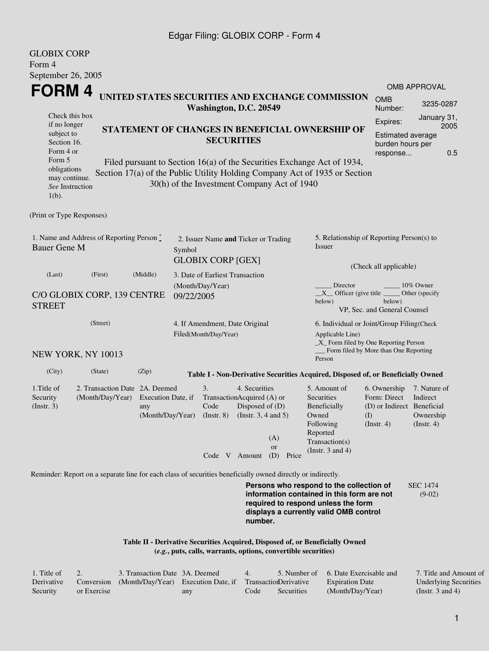## Edgar Filing: GLOBIX CORP - Form 4

| <b>GLOBIX CORP</b><br>Form 4                                                                                                                                                                                                                                                                                                                                                                                          |                                                         |                                                                  |  |                               |                                                                                                                                                    |                                  |                                                                                                                                                                                                             |                                                                                  |                                                           |  |
|-----------------------------------------------------------------------------------------------------------------------------------------------------------------------------------------------------------------------------------------------------------------------------------------------------------------------------------------------------------------------------------------------------------------------|---------------------------------------------------------|------------------------------------------------------------------|--|-------------------------------|----------------------------------------------------------------------------------------------------------------------------------------------------|----------------------------------|-------------------------------------------------------------------------------------------------------------------------------------------------------------------------------------------------------------|----------------------------------------------------------------------------------|-----------------------------------------------------------|--|
| September 26, 2005<br>FORM 4                                                                                                                                                                                                                                                                                                                                                                                          |                                                         |                                                                  |  |                               |                                                                                                                                                    |                                  |                                                                                                                                                                                                             |                                                                                  | <b>OMB APPROVAL</b>                                       |  |
|                                                                                                                                                                                                                                                                                                                                                                                                                       |                                                         |                                                                  |  | Washington, D.C. 20549        |                                                                                                                                                    |                                  | UNITED STATES SECURITIES AND EXCHANGE COMMISSION                                                                                                                                                            | <b>OMB</b><br>Number:                                                            | 3235-0287                                                 |  |
| Check this box<br>if no longer<br>STATEMENT OF CHANGES IN BENEFICIAL OWNERSHIP OF<br>subject to<br><b>SECURITIES</b><br>Section 16.<br>Form 4 or<br>Form 5<br>Filed pursuant to Section 16(a) of the Securities Exchange Act of 1934,<br>obligations<br>Section 17(a) of the Public Utility Holding Company Act of 1935 or Section<br>may continue.<br>30(h) of the Investment Company Act of 1940<br>See Instruction |                                                         |                                                                  |  |                               |                                                                                                                                                    |                                  |                                                                                                                                                                                                             | Expires:<br>Estimated average<br>burden hours per<br>response                    | January 31,<br>2005<br>0.5                                |  |
| $1(b)$ .<br>(Print or Type Responses)                                                                                                                                                                                                                                                                                                                                                                                 |                                                         |                                                                  |  |                               |                                                                                                                                                    |                                  |                                                                                                                                                                                                             |                                                                                  |                                                           |  |
| 1. Name and Address of Reporting Person *<br><b>Bauer Gene M</b>                                                                                                                                                                                                                                                                                                                                                      | Symbol                                                  | 2. Issuer Name and Ticker or Trading<br><b>GLOBIX CORP [GEX]</b> |  |                               | 5. Relationship of Reporting Person(s) to<br>Issuer<br>(Check all applicable)                                                                      |                                  |                                                                                                                                                                                                             |                                                                                  |                                                           |  |
| (Last)<br>C/O GLOBIX CORP, 139 CENTRE<br><b>STREET</b>                                                                                                                                                                                                                                                                                                                                                                | 09/22/2005                                              | 3. Date of Earliest Transaction<br>(Month/Day/Year)              |  |                               | Director<br>10% Owner<br>$X$ Officer (give title $\overline{\phantom{a}}$<br>Other (specify<br>below)<br>below)<br>VP, Sec. and General Counsel    |                                  |                                                                                                                                                                                                             |                                                                                  |                                                           |  |
| NEW YORK, NY 10013                                                                                                                                                                                                                                                                                                                                                                                                    | 4. If Amendment, Date Original<br>Filed(Month/Day/Year) |                                                                  |  |                               | 6. Individual or Joint/Group Filing(Check<br>Applicable Line)<br>$\_X$ Form filed by One Reporting Person<br>Form filed by More than One Reporting |                                  |                                                                                                                                                                                                             |                                                                                  |                                                           |  |
| (City)                                                                                                                                                                                                                                                                                                                                                                                                                | (State)                                                 | (Zip)                                                            |  |                               |                                                                                                                                                    |                                  | Person                                                                                                                                                                                                      |                                                                                  |                                                           |  |
| 1. Title of<br>Security<br>(Insert. 3)                                                                                                                                                                                                                                                                                                                                                                                | 2. Transaction Date 2A. Deemed<br>(Month/Day/Year)      | Execution Date, if<br>any<br>(Month/Day/Year)                    |  | 3.<br>Code<br>$($ Instr. $8)$ | 4. Securities<br>TransactionAcquired (A) or<br>Disposed of (D)<br>(Instr. 3, 4 and 5)<br>Code V Amount                                             | (A)<br><b>or</b><br>(D)<br>Price | Table I - Non-Derivative Securities Acquired, Disposed of, or Beneficially Owned<br>5. Amount of<br>Securities<br>Beneficially<br>Owned<br>Following<br>Reported<br>Transaction(s)<br>(Instr. $3$ and $4$ ) | 6. Ownership<br>Form: Direct<br>(D) or Indirect Beneficial<br>(I)<br>(Insert. 4) | 7. Nature of<br>Indirect<br>Ownership<br>$($ Instr. 4 $)$ |  |
| Reminder: Report on a separate line for each class of securities beneficially owned directly or indirectly.                                                                                                                                                                                                                                                                                                           |                                                         |                                                                  |  |                               | number.                                                                                                                                            |                                  | Persons who respond to the collection of<br>information contained in this form are not<br>required to respond unless the form<br>displays a currently valid OMB control                                     |                                                                                  | <b>SEC 1474</b><br>$(9-02)$                               |  |

**Table II - Derivative Securities Acquired, Disposed of, or Beneficially Owned (***e.g.***, puts, calls, warrants, options, convertible securities)**

| . Title of |             | 3. Transaction Date 3A, Deemed                                        |     | $\overline{4}$ |            | 5. Number of 6. Date Exercisable and | 7. Title and Amount of       |
|------------|-------------|-----------------------------------------------------------------------|-----|----------------|------------|--------------------------------------|------------------------------|
| Derivative |             | Conversion (Month/Day/Year) Execution Date, if Transaction Derivative |     |                |            | <b>Expiration Date</b>               | <b>Underlying Securities</b> |
| Security   | or Exercise |                                                                       | any | Code           | Securities | (Month/Day/Year)                     | (Instr. 3 and 4)             |